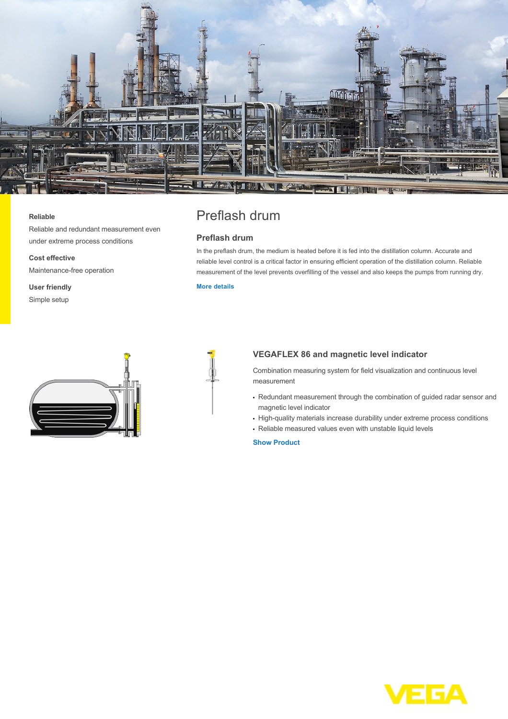

#### **Reliable**

Reliable and redundant measurement even under extreme process conditions

**Cost effective** Maintenance-free operation

**User friendly** Simple setup



# Preflash drum

# **Preflash drum**

In the preflash drum, the medium is heated before it is fed into the distillation column. Accurate and reliable level control is a critical factor in ensuring efficient operation of the distillation column. Reliable measurement of the level prevents overfilling of the vessel and also keeps the pumps from running dry.

## **[More details](http://localhost/en-us/industries/refining-petrochemical/preflash-drum)**



### **VEGAFLEX 86 and magnetic level indicator**

Combination measuring system for field visualization and continuous level measurement

- Redundant measurement through the combination of guided radar sensor and magnetic level indicator
- High-quality materials increase durability under extreme process conditions
- Reliable measured values even with unstable liquid levels

#### **[Show Product](http://localhost/en-us/products/product-catalog/level/guided-wave-radar/vegaflex-86)**